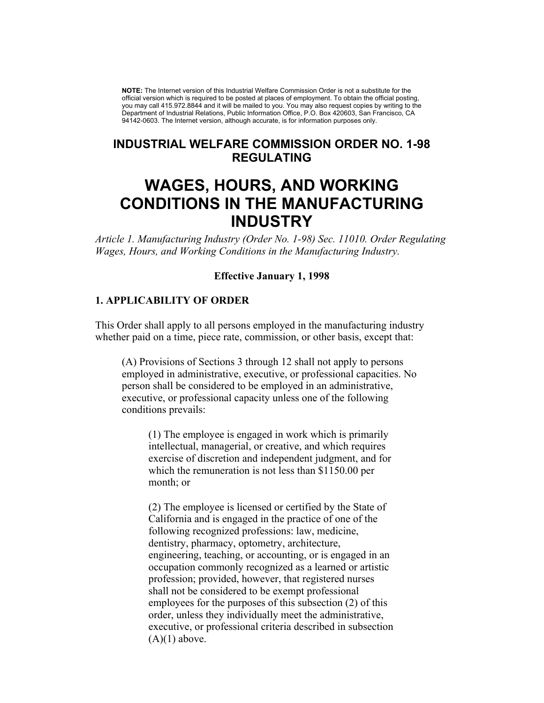**NOTE:** The Internet version of this Industrial Welfare Commission Order is not a substitute for the official version which is required to be posted at places of employment. To obtain the official posting, you may call 415.972.8844 and it will be mailed to you. You may also request copies by writing to the Department of Industrial Relations, Public Information Office, P.O. Box 420603, San Francisco, CA 94142-0603. The Internet version, although accurate, is for information purposes only.

# **INDUSTRIAL WELFARE COMMISSION ORDER NO. 1-98 REGULATING**

# **WAGES, HOURS, AND WORKING CONDITIONS IN THE MANUFACTURING INDUSTRY**

*Article 1. Manufacturing Industry (Order No. 1-98) Sec. 11010. Order Regulating Wages, Hours, and Working Conditions in the Manufacturing Industry.* 

### **Effective January 1, 1998**

#### **1. APPLICABILITY OF ORDER**

This Order shall apply to all persons employed in the manufacturing industry whether paid on a time, piece rate, commission, or other basis, except that:

(A) Provisions of Sections 3 through 12 shall not apply to persons employed in administrative, executive, or professional capacities. No person shall be considered to be employed in an administrative, executive, or professional capacity unless one of the following conditions prevails:

(1) The employee is engaged in work which is primarily intellectual, managerial, or creative, and which requires exercise of discretion and independent judgment, and for which the remuneration is not less than \$1150.00 per month; or

(2) The employee is licensed or certified by the State of California and is engaged in the practice of one of the following recognized professions: law, medicine, dentistry, pharmacy, optometry, architecture, engineering, teaching, or accounting, or is engaged in an occupation commonly recognized as a learned or artistic profession; provided, however, that registered nurses shall not be considered to be exempt professional employees for the purposes of this subsection (2) of this order, unless they individually meet the administrative, executive, or professional criteria described in subsection  $(A)(1)$  above.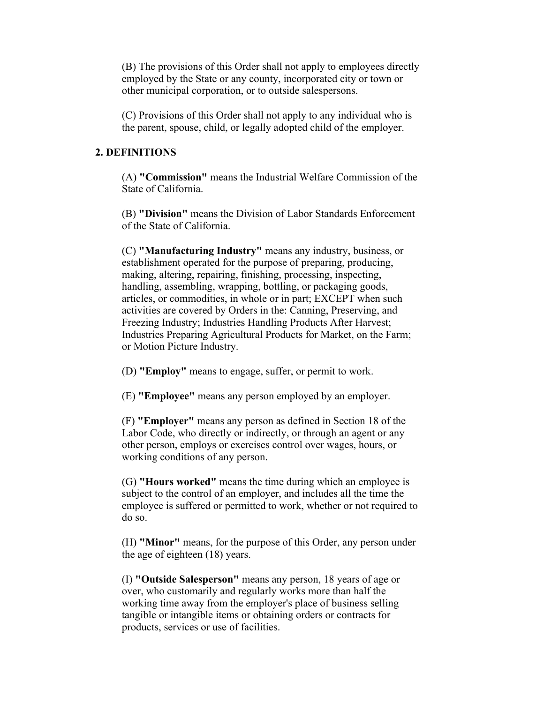(B) The provisions of this Order shall not apply to employees directly employed by the State or any county, incorporated city or town or other municipal corporation, or to outside salespersons.

(C) Provisions of this Order shall not apply to any individual who is the parent, spouse, child, or legally adopted child of the employer.

### **2. DEFINITIONS**

(A) **"Commission"** means the Industrial Welfare Commission of the State of California.

(B) **"Division"** means the Division of Labor Standards Enforcement of the State of California.

(C) **"Manufacturing Industry"** means any industry, business, or establishment operated for the purpose of preparing, producing, making, altering, repairing, finishing, processing, inspecting, handling, assembling, wrapping, bottling, or packaging goods, articles, or commodities, in whole or in part; EXCEPT when such activities are covered by Orders in the: Canning, Preserving, and Freezing Industry; Industries Handling Products After Harvest; Industries Preparing Agricultural Products for Market, on the Farm; or Motion Picture Industry.

(D) **"Employ"** means to engage, suffer, or permit to work.

(E) **"Employee"** means any person employed by an employer.

(F) **"Employer"** means any person as defined in Section 18 of the Labor Code, who directly or indirectly, or through an agent or any other person, employs or exercises control over wages, hours, or working conditions of any person.

(G) **"Hours worked"** means the time during which an employee is subject to the control of an employer, and includes all the time the employee is suffered or permitted to work, whether or not required to do so.

(H) **"Minor"** means, for the purpose of this Order, any person under the age of eighteen (18) years.

(I) **"Outside Salesperson"** means any person, 18 years of age or over, who customarily and regularly works more than half the working time away from the employer's place of business selling tangible or intangible items or obtaining orders or contracts for products, services or use of facilities.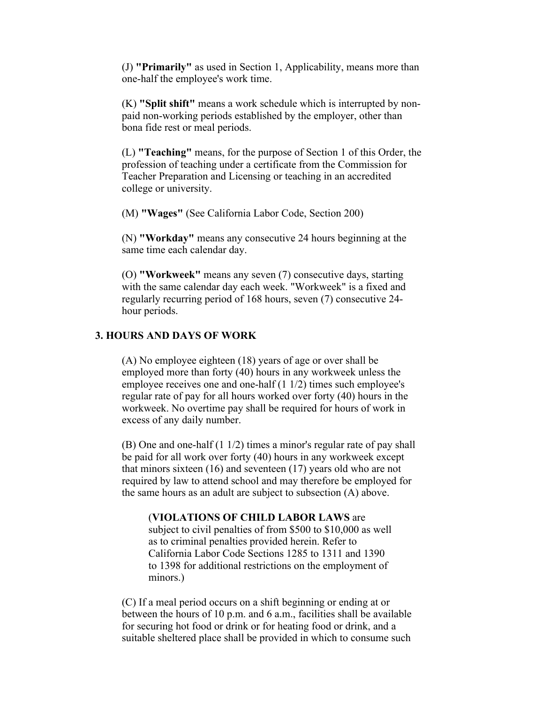(J) **"Primarily"** as used in Section 1, Applicability, means more than one-half the employee's work time.

(K) **"Split shift"** means a work schedule which is interrupted by nonpaid non-working periods established by the employer, other than bona fide rest or meal periods.

(L) **"Teaching"** means, for the purpose of Section 1 of this Order, the profession of teaching under a certificate from the Commission for Teacher Preparation and Licensing or teaching in an accredited college or university.

(M) **"Wages"** (See California Labor Code, Section 200)

(N) **"Workday"** means any consecutive 24 hours beginning at the same time each calendar day.

(O) **"Workweek"** means any seven (7) consecutive days, starting with the same calendar day each week. "Workweek" is a fixed and regularly recurring period of 168 hours, seven (7) consecutive 24 hour periods.

### **3. HOURS AND DAYS OF WORK**

(A) No employee eighteen (18) years of age or over shall be employed more than forty (40) hours in any workweek unless the employee receives one and one-half (1 1/2) times such employee's regular rate of pay for all hours worked over forty (40) hours in the workweek. No overtime pay shall be required for hours of work in excess of any daily number.

(B) One and one-half (1 1/2) times a minor's regular rate of pay shall be paid for all work over forty (40) hours in any workweek except that minors sixteen (16) and seventeen (17) years old who are not required by law to attend school and may therefore be employed for the same hours as an adult are subject to subsection (A) above.

(**VIOLATIONS OF CHILD LABOR LAWS** are subject to civil penalties of from \$500 to \$10,000 as well as to criminal penalties provided herein. Refer to California Labor Code Sections 1285 to 1311 and 1390 to 1398 for additional restrictions on the employment of minors.)

(C) If a meal period occurs on a shift beginning or ending at or between the hours of 10 p.m. and 6 a.m., facilities shall be available for securing hot food or drink or for heating food or drink, and a suitable sheltered place shall be provided in which to consume such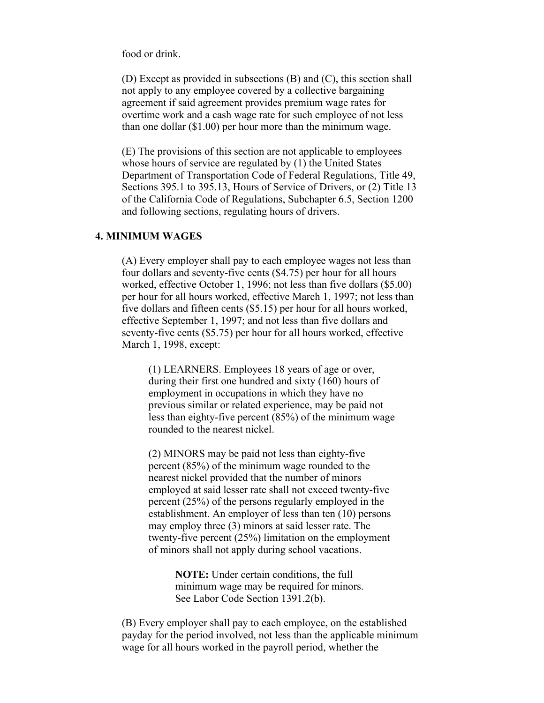food or drink.

(D) Except as provided in subsections (B) and (C), this section shall not apply to any employee covered by a collective bargaining agreement if said agreement provides premium wage rates for overtime work and a cash wage rate for such employee of not less than one dollar (\$1.00) per hour more than the minimum wage.

(E) The provisions of this section are not applicable to employees whose hours of service are regulated by (1) the United States Department of Transportation Code of Federal Regulations, Title 49, Sections 395.1 to 395.13, Hours of Service of Drivers, or (2) Title 13 of the California Code of Regulations, Subchapter 6.5, Section 1200 and following sections, regulating hours of drivers.

### **4. MINIMUM WAGES**

(A) Every employer shall pay to each employee wages not less than four dollars and seventy-five cents (\$4.75) per hour for all hours worked, effective October 1, 1996; not less than five dollars (\$5.00) per hour for all hours worked, effective March 1, 1997; not less than five dollars and fifteen cents (\$5.15) per hour for all hours worked, effective September 1, 1997; and not less than five dollars and seventy-five cents (\$5.75) per hour for all hours worked, effective March 1, 1998, except:

(1) LEARNERS. Employees 18 years of age or over, during their first one hundred and sixty (160) hours of employment in occupations in which they have no previous similar or related experience, may be paid not less than eighty-five percent (85%) of the minimum wage rounded to the nearest nickel.

(2) MINORS may be paid not less than eighty-five percent (85%) of the minimum wage rounded to the nearest nickel provided that the number of minors employed at said lesser rate shall not exceed twenty-five percent (25%) of the persons regularly employed in the establishment. An employer of less than ten (10) persons may employ three (3) minors at said lesser rate. The twenty-five percent (25%) limitation on the employment of minors shall not apply during school vacations.

> **NOTE:** Under certain conditions, the full minimum wage may be required for minors. See Labor Code Section 1391.2(b).

(B) Every employer shall pay to each employee, on the established payday for the period involved, not less than the applicable minimum wage for all hours worked in the payroll period, whether the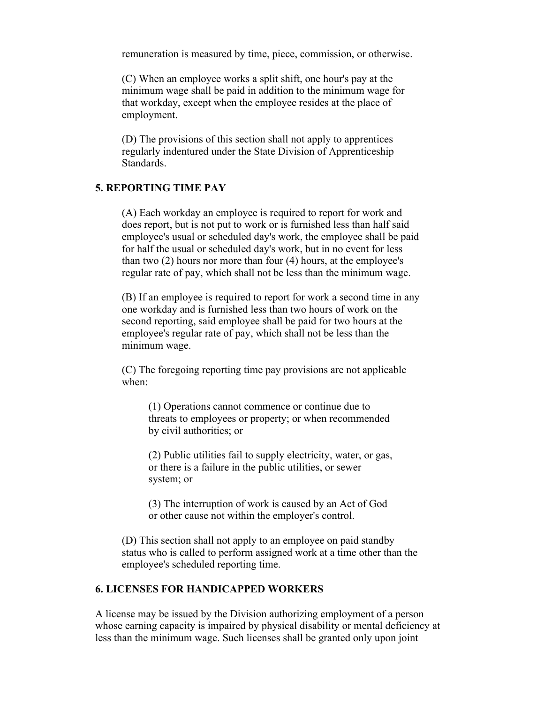remuneration is measured by time, piece, commission, or otherwise.

(C) When an employee works a split shift, one hour's pay at the minimum wage shall be paid in addition to the minimum wage for that workday, except when the employee resides at the place of employment.

(D) The provisions of this section shall not apply to apprentices regularly indentured under the State Division of Apprenticeship Standards.

### **5. REPORTING TIME PAY**

(A) Each workday an employee is required to report for work and does report, but is not put to work or is furnished less than half said employee's usual or scheduled day's work, the employee shall be paid for half the usual or scheduled day's work, but in no event for less than two (2) hours nor more than four (4) hours, at the employee's regular rate of pay, which shall not be less than the minimum wage.

(B) If an employee is required to report for work a second time in any one workday and is furnished less than two hours of work on the second reporting, said employee shall be paid for two hours at the employee's regular rate of pay, which shall not be less than the minimum wage.

(C) The foregoing reporting time pay provisions are not applicable when:

(1) Operations cannot commence or continue due to threats to employees or property; or when recommended by civil authorities; or

(2) Public utilities fail to supply electricity, water, or gas, or there is a failure in the public utilities, or sewer system; or

(3) The interruption of work is caused by an Act of God or other cause not within the employer's control.

(D) This section shall not apply to an employee on paid standby status who is called to perform assigned work at a time other than the employee's scheduled reporting time.

### **6. LICENSES FOR HANDICAPPED WORKERS**

A license may be issued by the Division authorizing employment of a person whose earning capacity is impaired by physical disability or mental deficiency at less than the minimum wage. Such licenses shall be granted only upon joint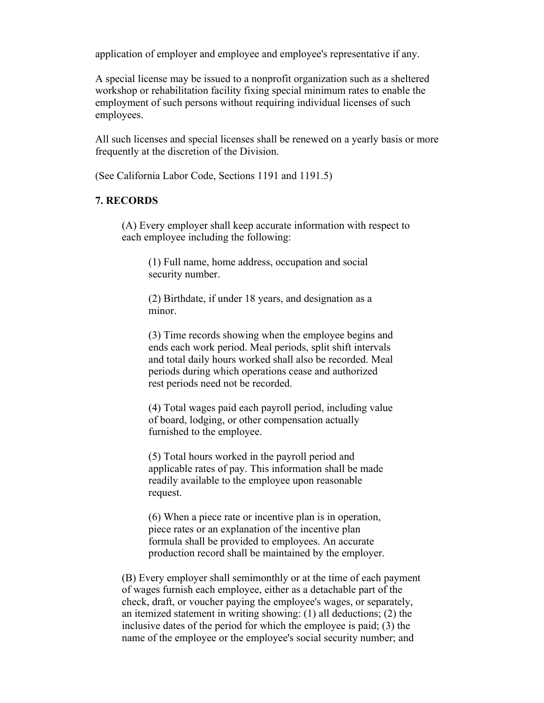application of employer and employee and employee's representative if any.

A special license may be issued to a nonprofit organization such as a sheltered workshop or rehabilitation facility fixing special minimum rates to enable the employment of such persons without requiring individual licenses of such employees.

All such licenses and special licenses shall be renewed on a yearly basis or more frequently at the discretion of the Division.

(See California Labor Code, Sections 1191 and 1191.5)

### **7. RECORDS**

(A) Every employer shall keep accurate information with respect to each employee including the following:

(1) Full name, home address, occupation and social security number.

(2) Birthdate, if under 18 years, and designation as a minor.

(3) Time records showing when the employee begins and ends each work period. Meal periods, split shift intervals and total daily hours worked shall also be recorded. Meal periods during which operations cease and authorized rest periods need not be recorded.

(4) Total wages paid each payroll period, including value of board, lodging, or other compensation actually furnished to the employee.

(5) Total hours worked in the payroll period and applicable rates of pay. This information shall be made readily available to the employee upon reasonable request.

(6) When a piece rate or incentive plan is in operation, piece rates or an explanation of the incentive plan formula shall be provided to employees. An accurate production record shall be maintained by the employer.

(B) Every employer shall semimonthly or at the time of each payment of wages furnish each employee, either as a detachable part of the check, draft, or voucher paying the employee's wages, or separately, an itemized statement in writing showing: (1) all deductions; (2) the inclusive dates of the period for which the employee is paid; (3) the name of the employee or the employee's social security number; and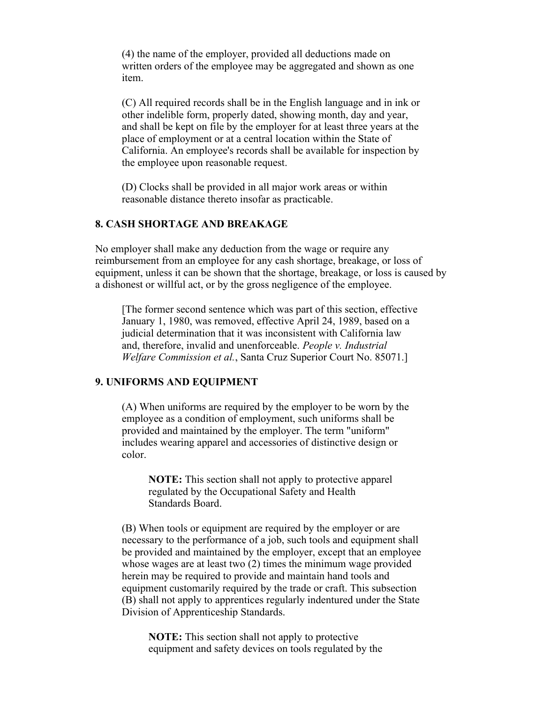(4) the name of the employer, provided all deductions made on written orders of the employee may be aggregated and shown as one item.

(C) All required records shall be in the English language and in ink or other indelible form, properly dated, showing month, day and year, and shall be kept on file by the employer for at least three years at the place of employment or at a central location within the State of California. An employee's records shall be available for inspection by the employee upon reasonable request.

(D) Clocks shall be provided in all major work areas or within reasonable distance thereto insofar as practicable.

#### **8. CASH SHORTAGE AND BREAKAGE**

No employer shall make any deduction from the wage or require any reimbursement from an employee for any cash shortage, breakage, or loss of equipment, unless it can be shown that the shortage, breakage, or loss is caused by a dishonest or willful act, or by the gross negligence of the employee.

[The former second sentence which was part of this section, effective January 1, 1980, was removed, effective April 24, 1989, based on a judicial determination that it was inconsistent with California law and, therefore, invalid and unenforceable. *People v. Industrial Welfare Commission et al.*, Santa Cruz Superior Court No. 85071.]

#### **9. UNIFORMS AND EQUIPMENT**

(A) When uniforms are required by the employer to be worn by the employee as a condition of employment, such uniforms shall be provided and maintained by the employer. The term "uniform" includes wearing apparel and accessories of distinctive design or color.

**NOTE:** This section shall not apply to protective apparel regulated by the Occupational Safety and Health Standards Board.

(B) When tools or equipment are required by the employer or are necessary to the performance of a job, such tools and equipment shall be provided and maintained by the employer, except that an employee whose wages are at least two (2) times the minimum wage provided herein may be required to provide and maintain hand tools and equipment customarily required by the trade or craft. This subsection (B) shall not apply to apprentices regularly indentured under the State Division of Apprenticeship Standards.

**NOTE:** This section shall not apply to protective equipment and safety devices on tools regulated by the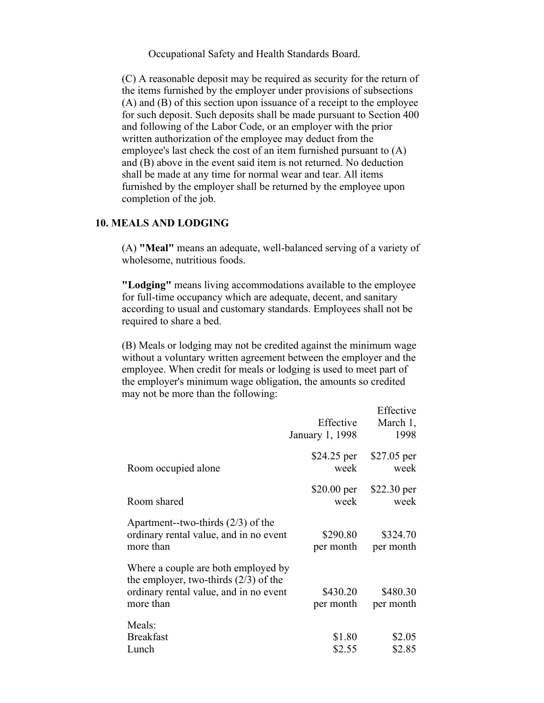Occupational Safety and Health Standards Board.

(C) A reasonable deposit may be required as security for the return of the items furnished by the employer under provisions of subsections (A) and (B) of this section upon issuance of a receipt to the employee for such deposit. Such deposits shall be made pursuant to Section 400 and following of the Labor Code, or an employer with the prior written authorization of the employee may deduct from the employee's last check the cost of an item furnished pursuant to (A) and (B) above in the event said item is not returned. No deduction shall be made at any time for normal wear and tear. All items furnished by the employer shall be returned by the employee upon completion of the job.

#### **10. MEALS AND LODGING**

(A) **"Meal"** means an adequate, well-balanced serving of a variety of wholesome, nutritious foods.

**"Lodging"** means living accommodations available to the employee for full-time occupancy which are adequate, decent, and sanitary according to usual and customary standards. Employees shall not be required to share a bed.

(B) Meals or lodging may not be credited against the minimum wage without a voluntary written agreement between the employer and the employee. When credit for meals or lodging is used to meet part of the employer's minimum wage obligation, the amounts so credited may not be more than the following:

|                                                                                                                                       | Effective<br>January 1, 1998 | Effective<br>March 1,<br>1998 |
|---------------------------------------------------------------------------------------------------------------------------------------|------------------------------|-------------------------------|
| Room occupied alone                                                                                                                   | \$24.25 per<br>week          | \$27.05 per<br>week           |
| Room shared                                                                                                                           | $$20.00$ per<br>week         | $$22.30$ per<br>week          |
| Apartment-two-thirds $(2/3)$ of the<br>ordinary rental value, and in no event<br>more than                                            | \$290.80<br>per month        | \$324.70<br>per month         |
| Where a couple are both employed by<br>the employer, two-thirds $(2/3)$ of the<br>ordinary rental value, and in no event<br>more than | \$430.20<br>per month        | \$480.30<br>per month         |
| Meals:<br><b>Breakfast</b><br>Lunch                                                                                                   | \$1.80<br>\$2.55             | \$2.05<br>\$2.85              |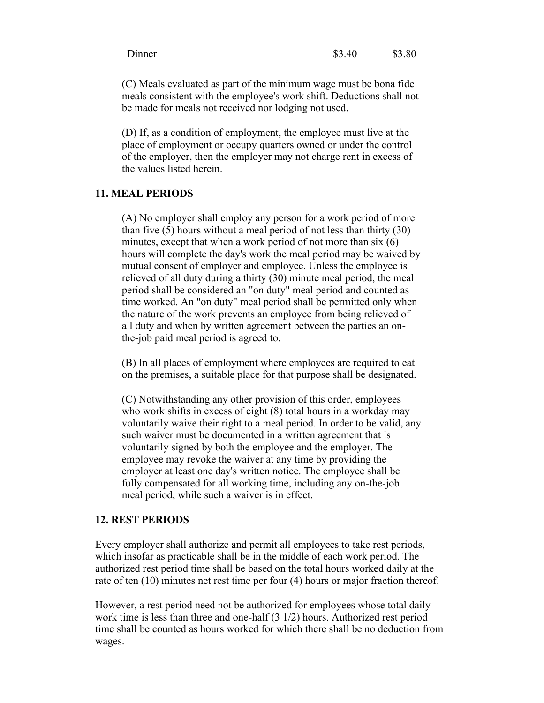(C) Meals evaluated as part of the minimum wage must be bona fide meals consistent with the employee's work shift. Deductions shall not be made for meals not received nor lodging not used.

(D) If, as a condition of employment, the employee must live at the place of employment or occupy quarters owned or under the control of the employer, then the employer may not charge rent in excess of the values listed herein.

### **11. MEAL PERIODS**

(A) No employer shall employ any person for a work period of more than five (5) hours without a meal period of not less than thirty (30) minutes, except that when a work period of not more than six (6) hours will complete the day's work the meal period may be waived by mutual consent of employer and employee. Unless the employee is relieved of all duty during a thirty (30) minute meal period, the meal period shall be considered an "on duty" meal period and counted as time worked. An "on duty" meal period shall be permitted only when the nature of the work prevents an employee from being relieved of all duty and when by written agreement between the parties an onthe-job paid meal period is agreed to.

(B) In all places of employment where employees are required to eat on the premises, a suitable place for that purpose shall be designated.

(C) Notwithstanding any other provision of this order, employees who work shifts in excess of eight  $(8)$  total hours in a workday may voluntarily waive their right to a meal period. In order to be valid, any such waiver must be documented in a written agreement that is voluntarily signed by both the employee and the employer. The employee may revoke the waiver at any time by providing the employer at least one day's written notice. The employee shall be fully compensated for all working time, including any on-the-job meal period, while such a waiver is in effect.

#### **12. REST PERIODS**

Every employer shall authorize and permit all employees to take rest periods, which insofar as practicable shall be in the middle of each work period. The authorized rest period time shall be based on the total hours worked daily at the rate of ten (10) minutes net rest time per four (4) hours or major fraction thereof.

However, a rest period need not be authorized for employees whose total daily work time is less than three and one-half (3 1/2) hours. Authorized rest period time shall be counted as hours worked for which there shall be no deduction from wages.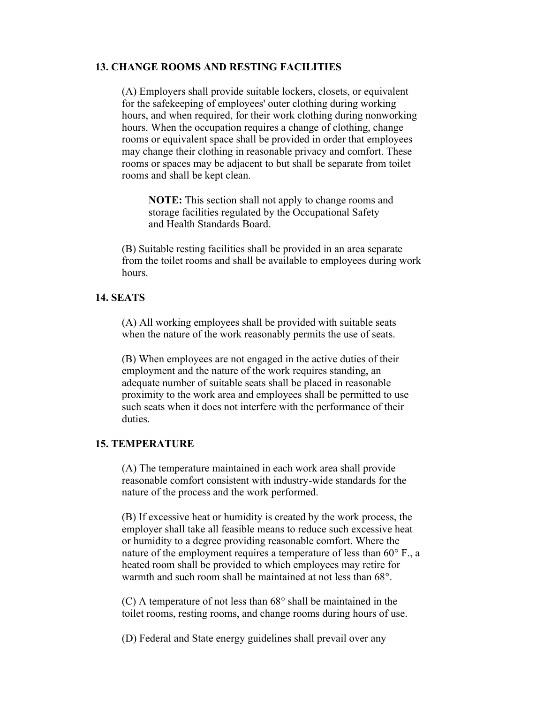#### **13. CHANGE ROOMS AND RESTING FACILITIES**

(A) Employers shall provide suitable lockers, closets, or equivalent for the safekeeping of employees' outer clothing during working hours, and when required, for their work clothing during nonworking hours. When the occupation requires a change of clothing, change rooms or equivalent space shall be provided in order that employees may change their clothing in reasonable privacy and comfort. These rooms or spaces may be adjacent to but shall be separate from toilet rooms and shall be kept clean.

**NOTE:** This section shall not apply to change rooms and storage facilities regulated by the Occupational Safety and Health Standards Board.

(B) Suitable resting facilities shall be provided in an area separate from the toilet rooms and shall be available to employees during work hours.

#### **14. SEATS**

(A) All working employees shall be provided with suitable seats when the nature of the work reasonably permits the use of seats.

(B) When employees are not engaged in the active duties of their employment and the nature of the work requires standing, an adequate number of suitable seats shall be placed in reasonable proximity to the work area and employees shall be permitted to use such seats when it does not interfere with the performance of their duties.

## **15. TEMPERATURE**

(A) The temperature maintained in each work area shall provide reasonable comfort consistent with industry-wide standards for the nature of the process and the work performed.

(B) If excessive heat or humidity is created by the work process, the employer shall take all feasible means to reduce such excessive heat or humidity to a degree providing reasonable comfort. Where the nature of the employment requires a temperature of less than 60° F., a heated room shall be provided to which employees may retire for warmth and such room shall be maintained at not less than 68<sup>°</sup>.

(C) A temperature of not less than 68° shall be maintained in the toilet rooms, resting rooms, and change rooms during hours of use.

(D) Federal and State energy guidelines shall prevail over any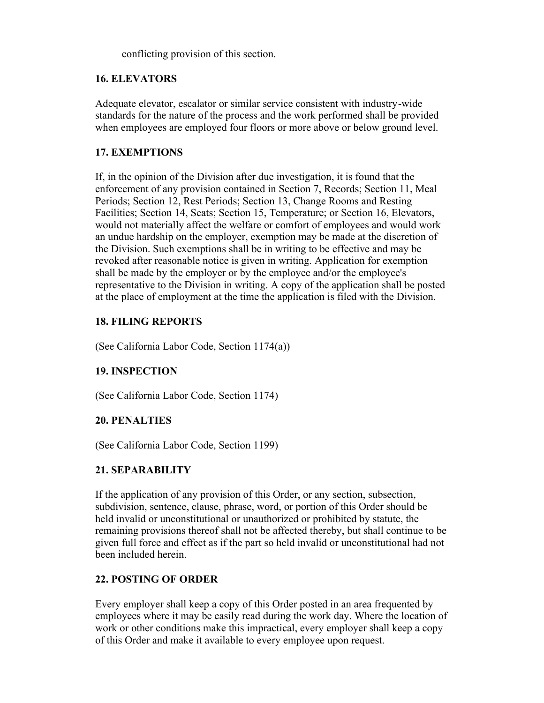conflicting provision of this section.

# **16. ELEVATORS**

Adequate elevator, escalator or similar service consistent with industry-wide standards for the nature of the process and the work performed shall be provided when employees are employed four floors or more above or below ground level.

# **17. EXEMPTIONS**

If, in the opinion of the Division after due investigation, it is found that the enforcement of any provision contained in Section 7, Records; Section 11, Meal Periods; Section 12, Rest Periods; Section 13, Change Rooms and Resting Facilities; Section 14, Seats; Section 15, Temperature; or Section 16, Elevators, would not materially affect the welfare or comfort of employees and would work an undue hardship on the employer, exemption may be made at the discretion of the Division. Such exemptions shall be in writing to be effective and may be revoked after reasonable notice is given in writing. Application for exemption shall be made by the employer or by the employee and/or the employee's representative to the Division in writing. A copy of the application shall be posted at the place of employment at the time the application is filed with the Division.

# **18. FILING REPORTS**

(See California Labor Code, Section 1174(a))

# **19. INSPECTION**

(See California Labor Code, Section 1174)

# **20. PENALTIES**

(See California Labor Code, Section 1199)

# **21. SEPARABILITY**

If the application of any provision of this Order, or any section, subsection, subdivision, sentence, clause, phrase, word, or portion of this Order should be held invalid or unconstitutional or unauthorized or prohibited by statute, the remaining provisions thereof shall not be affected thereby, but shall continue to be given full force and effect as if the part so held invalid or unconstitutional had not been included herein.

# **22. POSTING OF ORDER**

Every employer shall keep a copy of this Order posted in an area frequented by employees where it may be easily read during the work day. Where the location of work or other conditions make this impractical, every employer shall keep a copy of this Order and make it available to every employee upon request.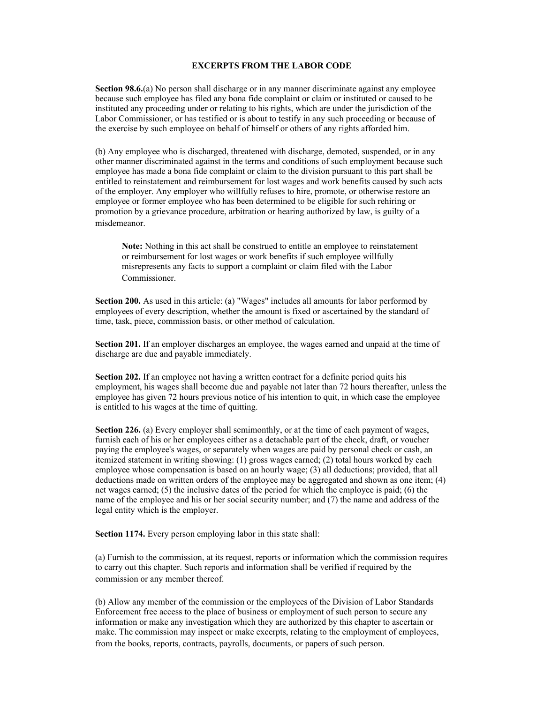#### **EXCERPTS FROM THE LABOR CODE**

**Section 98.6.**(a) No person shall discharge or in any manner discriminate against any employee because such employee has filed any bona fide complaint or claim or instituted or caused to be instituted any proceeding under or relating to his rights, which are under the jurisdiction of the Labor Commissioner, or has testified or is about to testify in any such proceeding or because of the exercise by such employee on behalf of himself or others of any rights afforded him.

(b) Any employee who is discharged, threatened with discharge, demoted, suspended, or in any other manner discriminated against in the terms and conditions of such employment because such employee has made a bona fide complaint or claim to the division pursuant to this part shall be entitled to reinstatement and reimbursement for lost wages and work benefits caused by such acts of the employer. Any employer who willfully refuses to hire, promote, or otherwise restore an employee or former employee who has been determined to be eligible for such rehiring or promotion by a grievance procedure, arbitration or hearing authorized by law, is guilty of a misdemeanor.

**Note:** Nothing in this act shall be construed to entitle an employee to reinstatement or reimbursement for lost wages or work benefits if such employee willfully misrepresents any facts to support a complaint or claim filed with the Labor Commissioner.

**Section 200.** As used in this article: (a) "Wages" includes all amounts for labor performed by employees of every description, whether the amount is fixed or ascertained by the standard of time, task, piece, commission basis, or other method of calculation.

**Section 201.** If an employer discharges an employee, the wages earned and unpaid at the time of discharge are due and payable immediately.

**Section 202.** If an employee not having a written contract for a definite period quits his employment, his wages shall become due and payable not later than 72 hours thereafter, unless the employee has given 72 hours previous notice of his intention to quit, in which case the employee is entitled to his wages at the time of quitting.

**Section 226.** (a) Every employer shall semimonthly, or at the time of each payment of wages, furnish each of his or her employees either as a detachable part of the check, draft, or voucher paying the employee's wages, or separately when wages are paid by personal check or cash, an itemized statement in writing showing: (1) gross wages earned; (2) total hours worked by each employee whose compensation is based on an hourly wage; (3) all deductions; provided, that all deductions made on written orders of the employee may be aggregated and shown as one item; (4) net wages earned; (5) the inclusive dates of the period for which the employee is paid; (6) the name of the employee and his or her social security number; and (7) the name and address of the legal entity which is the employer.

**Section 1174.** Every person employing labor in this state shall:

(a) Furnish to the commission, at its request, reports or information which the commission requires to carry out this chapter. Such reports and information shall be verified if required by the commission or any member thereof.

(b) Allow any member of the commission or the employees of the Division of Labor Standards Enforcement free access to the place of business or employment of such person to secure any information or make any investigation which they are authorized by this chapter to ascertain or make. The commission may inspect or make excerpts, relating to the employment of employees, from the books, reports, contracts, payrolls, documents, or papers of such person.